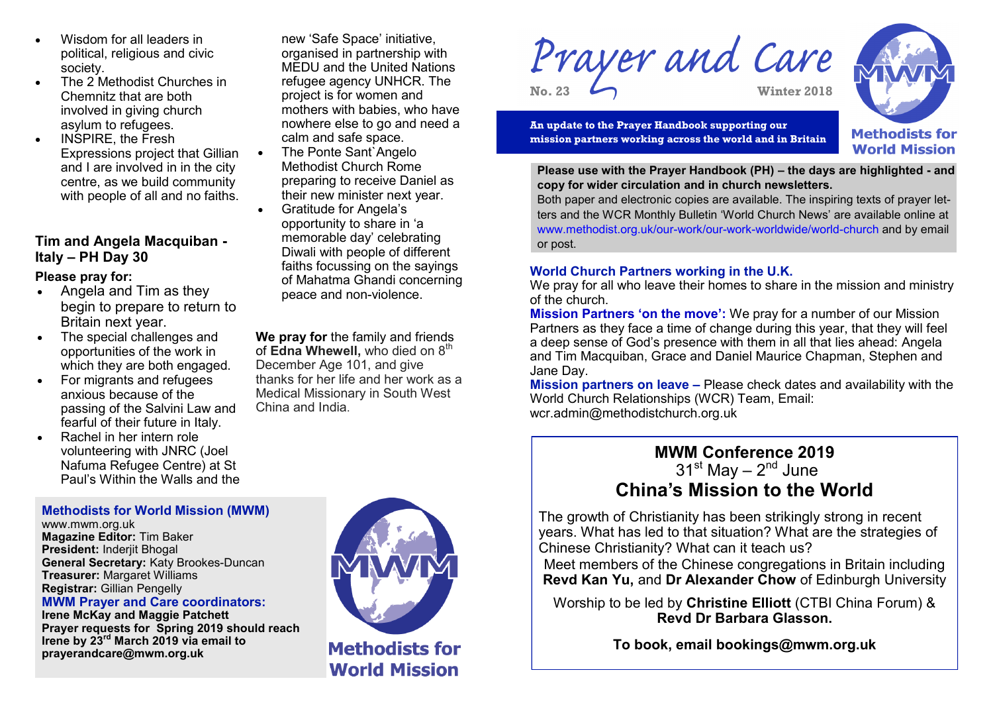- Wisdom for all leaders in political, religious and civic society.
- The 2 Methodist Churches in Chemnitz that are both involved in giving church asylum to refugees.
- INSPIRE, the Fresh Expressions project that Gillian and I are involved in in the city centre, as we build community with people of all and no faiths.

# **Tim and Angela Macquiban - Italy – PH Day 30**

### **Please pray for:**

- Angela and Tim as they begin to prepare to return to Britain next year.
- The special challenges and opportunities of the work in which they are both engaged.
- For migrants and refugees anxious because of the passing of the Salvini Law and fearful of their future in Italy.
- Rachel in her intern role volunteering with JNRC (Joel Nafuma Refugee Centre) at St Paul's Within the Walls and the

new 'Safe Space' initiative, organised in partnership with MEDU and the United Nations refugee agency UNHCR. The project is for women and mothers with babies, who have nowhere else to go and need a calm and safe space.

- The Ponte Sant`Angelo Methodist Church Rome preparing to receive Daniel as their new minister next year.
- Gratitude for Angela's opportunity to share in 'a memorable day' celebrating Diwali with people of different faiths focussing on the sayings of Mahatma Ghandi concerning peace and non-violence.

**We pray for** the family and friends of **Edna Whewell**, who died on 8<sup>th</sup> December Age 101, and give thanks for her life and her work as a Medical Missionary in South West China and India.



**World Mission** 

Prayer and Care **No. 23 Winter 2018**

**An update to the Prayer Handbook supporting our mission partners working across the world and in Britain**



**Please use with the Prayer Handbook (PH) – the days are highlighted - and copy for wider circulation and in church newsletters.** 

Both paper and electronic copies are available. The inspiring texts of prayer letters and the WCR Monthly Bulletin 'World Church News' are available online at www.methodist.org.uk/our-work/our-work-worldwide/world-church and by email or post.

### **World Church Partners working in the U.K.**

We pray for all who leave their homes to share in the mission and ministry of the church.

**Mission Partners 'on the move':** We pray for a number of our Mission Partners as they face a time of change during this year, that they will feel a deep sense of God's presence with them in all that lies ahead: Angela and Tim Macquiban, Grace and Daniel Maurice Chapman, Stephen and Jane Day.

**Mission partners on leave –** Please check dates and availability with the World Church Relationships (WCR) Team, Email: wcr.admin@methodistchurch.org.uk

# **MWM Conference 2019** 31<sup>st</sup> May – 2<sup>nd</sup> June **China's Mission to the World**

The growth of Christianity has been strikingly strong in recent years. What has led to that situation? What are the strategies of Chinese Christianity? What can it teach us?

Meet members of the Chinese congregations in Britain including **Revd Kan Yu,** and **Dr Alexander Chow** of Edinburgh University

Worship to be led by **Christine Elliott** (CTBI China Forum) & **Revd Dr Barbara Glasson.**

**To book, email bookings@mwm.org.uk**

#### **Methodists for World Mission (MWM)**

www.mwm.org.uk **Magazine Editor:** Tim Baker **President:** Inderjit Bhogal **General Secretary:** Katy Brookes-Duncan **Treasurer:** Margaret Williams **Registrar:** Gillian Pengelly

#### **MWM Prayer and Care coordinators:**

**Irene McKay and Maggie Patchett Prayer requests for Spring 2019 should reach Irene by 23rd March 2019 via email to prayerandcare@mwm.org.uk**